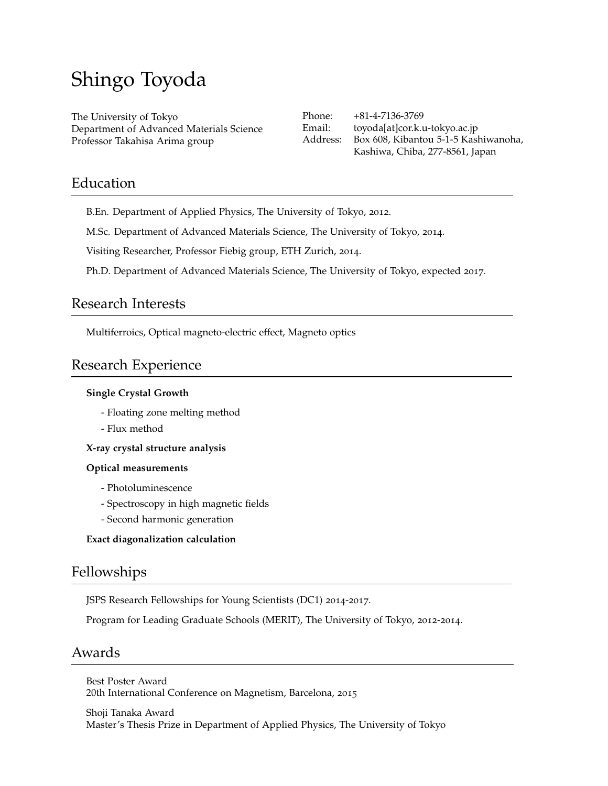# Shingo Toyoda

The University of Tokyo Department of Advanced Materials Science Professor Takahisa Arima group

Phone: +81-4-7136-3769 Email: toyoda[at]cor.k.u-tokyo.ac.jp Address: Box 608, Kibantou 5-1-5 Kashiwanoha, Kashiwa, Chiba, 277-8561, Japan

### Education

B.En. Department of Applied Physics, The University of Tokyo, 2012.

M.Sc. Department of Advanced Materials Science, The University of Tokyo, 2014.

Visiting Researcher, Professor Fiebig group, ETH Zurich, 2014.

Ph.D. Department of Advanced Materials Science, The University of Tokyo, expected 2017.

### Research Interests

Multiferroics, Optical magneto-electric effect, Magneto optics

# Research Experience

### **Single Crystal Growth**

- Floating zone melting method
- Flux method

**X-ray crystal structure analysis**

### **Optical measurements**

- Photoluminescence
- Spectroscopy in high magnetic fields
- Second harmonic generation

### **Exact diagonalization calculation**

# Fellowships

JSPS Research Fellowships for Young Scientists (DC1) 2014-2017.

Program for Leading Graduate Schools (MERIT), The University of Tokyo, 2012-2014.

### Awards

Best Poster Award 20th International Conference on Magnetism, Barcelona, 2015

Shoji Tanaka Award Master's Thesis Prize in Department of Applied Physics, The University of Tokyo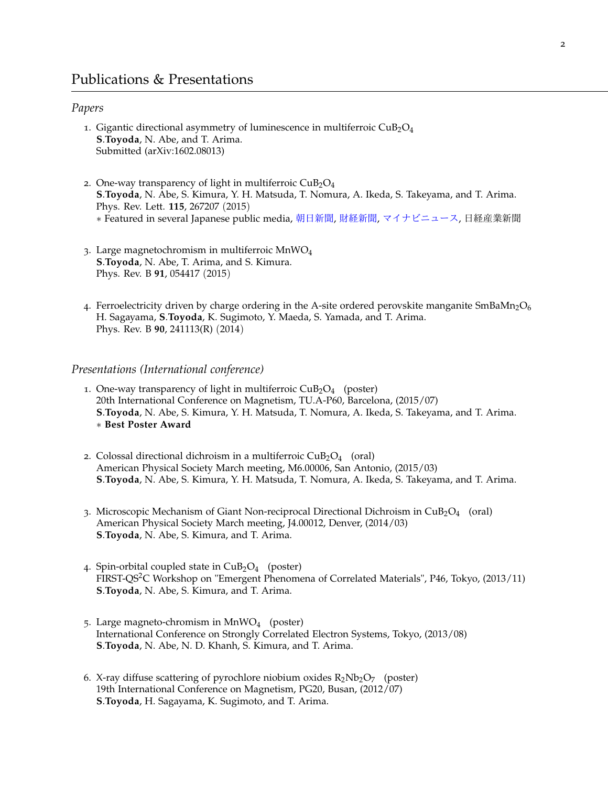#### *Papers*

- 1. Gigantic directional asymmetry of luminescence in multiferroic  $CuB<sub>2</sub>O<sub>4</sub>$ **S**.**Toyoda**, N. Abe, and T. Arima. Submitted (arXiv:1602.08013)
- 2. One-way transparency of light in multiferroic  $CuB<sub>2</sub>O<sub>4</sub>$ **S**.**Toyoda**, N. Abe, S. Kimura, Y. H. Matsuda, T. Nomura, A. Ikeda, S. Takeyama, and T. Arima. Phys. Rev. Lett. **115**, 267207 (2015) *∗* Featured in several Japanese public media, [朝日新聞](http://www.asahi.com/articles/DA3S12147354.html), [財経新聞](http://www.zaikei.co.jp/article/20151225/285046.html), [マイナビニュース](http://news.mynavi.jp/news/2015/12/22/462/), 日経産業新聞
- 3. Large magnetochromism in multiferroic MnWO<sup>4</sup> **S**.**Toyoda**, N. Abe, T. Arima, and S. Kimura. Phys. Rev. B **91**, 054417 (2015)
- 4. Ferroelectricity driven by charge ordering in the A-site ordered perovskite manganite  $SmBaMn<sub>2</sub>O<sub>6</sub>$ H. Sagayama, **S**.**Toyoda**, K. Sugimoto, Y. Maeda, S. Yamada, and T. Arima. Phys. Rev. B **90**, 241113(R) (2014)

#### *Presentations (International conference)*

- 1. One-way transparency of light in multiferroic  $CuB<sub>2</sub>O<sub>4</sub>$  (poster) 20th International Conference on Magnetism, TU.A-P60, Barcelona, (2015/07) **S**.**Toyoda**, N. Abe, S. Kimura, Y. H. Matsuda, T. Nomura, A. Ikeda, S. Takeyama, and T. Arima. *∗* **Best Poster Award**
- 2. Colossal directional dichroism in a multiferroic  $CuB<sub>2</sub>O<sub>4</sub>$  (oral) American Physical Society March meeting, M6.00006, San Antonio, (2015/03) **S**.**Toyoda**, N. Abe, S. Kimura, Y. H. Matsuda, T. Nomura, A. Ikeda, S. Takeyama, and T. Arima.
- 3. Microscopic Mechanism of Giant Non-reciprocal Directional Dichroism in  $\text{CuB}_2\text{O}_4$  (oral) American Physical Society March meeting, J4.00012, Denver, (2014/03) **S**.**Toyoda**, N. Abe, S. Kimura, and T. Arima.
- 4. Spin-orbital coupled state in  $CuB<sub>2</sub>O<sub>4</sub>$  (poster) FIRST-QS<sup>2</sup>C Workshop on "Emergent Phenomena of Correlated Materials", P46, Tokyo, (2013/11) **S**.**Toyoda**, N. Abe, S. Kimura, and T. Arima.
- 5. Large magneto-chromism in MnWO<sup>4</sup> (poster) International Conference on Strongly Correlated Electron Systems, Tokyo, (2013/08) **S**.**Toyoda**, N. Abe, N. D. Khanh, S. Kimura, and T. Arima.
- 6. X-ray diffuse scattering of pyrochlore niobium oxides  $R_2Nb_2O_7$  (poster) 19th International Conference on Magnetism, PG20, Busan, (2012/07) **S**.**Toyoda**, H. Sagayama, K. Sugimoto, and T. Arima.